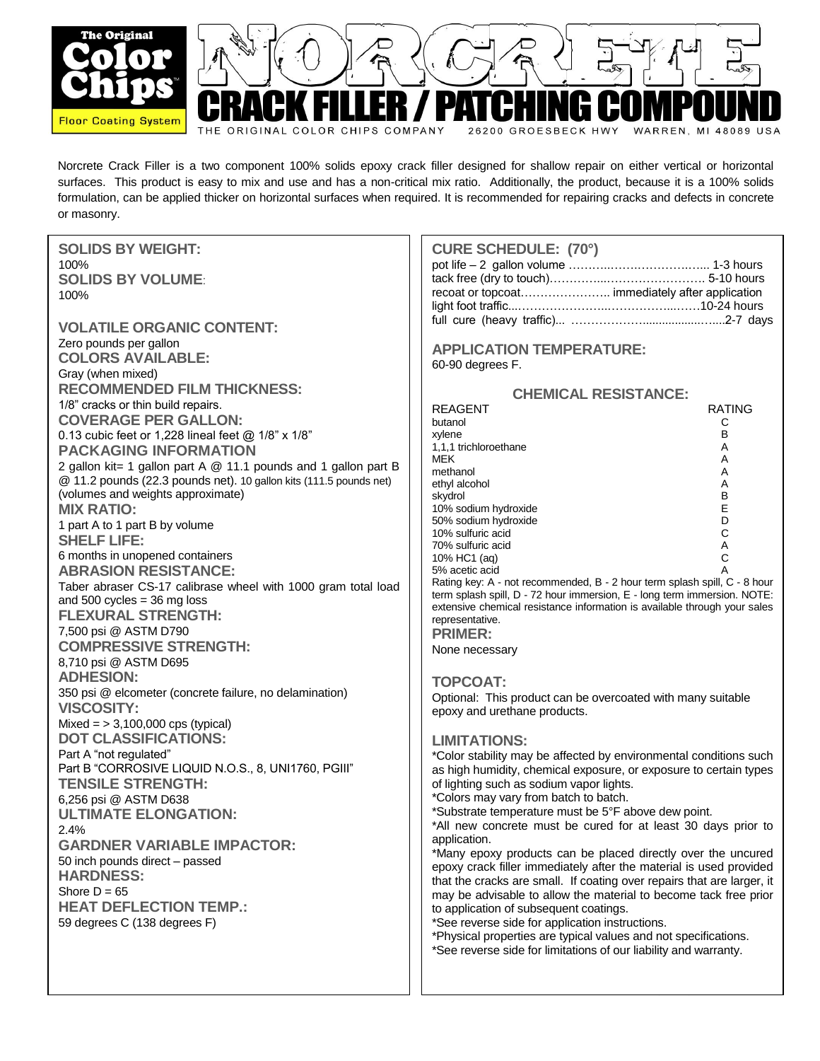

Norcrete Crack Filler is a two component 100% solids epoxy crack filler designed for shallow repair on either vertical or horizontal surfaces. This product is easy to mix and use and has a non-critical mix ratio. Additionally, the product, because it is a 100% solids formulation, can be applied thicker on horizontal surfaces when required. It is recommended for repairing cracks and defects in concrete or masonry.

| <b>SOLIDS BY WEIGHT:</b>                                           | <b>CURE SCHEDULE: (70°)</b>                                                                                                                           |
|--------------------------------------------------------------------|-------------------------------------------------------------------------------------------------------------------------------------------------------|
| 100%                                                               |                                                                                                                                                       |
| <b>SOLIDS BY VOLUME:</b>                                           |                                                                                                                                                       |
| 100%                                                               | recoat or topcoat immediately after application                                                                                                       |
|                                                                    |                                                                                                                                                       |
| <b>VOLATILE ORGANIC CONTENT:</b>                                   |                                                                                                                                                       |
| Zero pounds per gallon                                             | <b>APPLICATION TEMPERATURE:</b>                                                                                                                       |
| <b>COLORS AVAILABLE:</b>                                           | 60-90 degrees F.                                                                                                                                      |
| Gray (when mixed)                                                  |                                                                                                                                                       |
| <b>RECOMMENDED FILM THICKNESS:</b>                                 | <b>CHEMICAL RESISTANCE:</b>                                                                                                                           |
| 1/8" cracks or thin build repairs.                                 | <b>RATING</b><br><b>REAGENT</b>                                                                                                                       |
| <b>COVERAGE PER GALLON:</b>                                        | butanol<br>С                                                                                                                                          |
| 0.13 cubic feet or 1,228 lineal feet @ 1/8" x 1/8"                 | B<br>xylene                                                                                                                                           |
| <b>PACKAGING INFORMATION</b>                                       | 1,1,1 trichloroethane<br>Α                                                                                                                            |
| 2 gallon kit= 1 gallon part A @ 11.1 pounds and 1 gallon part B    | <b>MEK</b><br>Α<br>methanol<br>Α                                                                                                                      |
| @ 11.2 pounds (22.3 pounds net). 10 gallon kits (111.5 pounds net) | ethyl alcohol<br>Α                                                                                                                                    |
| (volumes and weights approximate)                                  | В<br>skydrol                                                                                                                                          |
| <b>MIX RATIO:</b>                                                  | Ε<br>10% sodium hydroxide                                                                                                                             |
| 1 part A to 1 part B by volume                                     | D<br>50% sodium hydroxide<br>С<br>10% sulfuric acid                                                                                                   |
| <b>SHELF LIFE:</b>                                                 | Α<br>70% sulfuric acid                                                                                                                                |
| 6 months in unopened containers                                    | С<br>10% HC1 (aq)                                                                                                                                     |
| <b>ABRASION RESISTANCE:</b>                                        | 5% acetic acid                                                                                                                                        |
| Taber abraser CS-17 calibrase wheel with 1000 gram total load      | Rating key: A - not recommended, B - 2 hour term splash spill, C - 8 hour                                                                             |
| and 500 cycles $=$ 36 mg loss                                      | term splash spill, D - 72 hour immersion, E - long term immersion. NOTE:<br>extensive chemical resistance information is available through your sales |
| <b>FLEXURAL STRENGTH:</b>                                          | representative.                                                                                                                                       |
| 7,500 psi @ ASTM D790                                              | <b>PRIMER:</b>                                                                                                                                        |
| <b>COMPRESSIVE STRENGTH:</b>                                       | None necessary                                                                                                                                        |
| 8,710 psi @ ASTM D695                                              |                                                                                                                                                       |
| <b>ADHESION:</b>                                                   | <b>TOPCOAT:</b>                                                                                                                                       |
| 350 psi @ elcometer (concrete failure, no delamination)            | Optional: This product can be overcoated with many suitable                                                                                           |
| <b>VISCOSITY:</b>                                                  | epoxy and urethane products.                                                                                                                          |
| Mixed = $> 3,100,000$ cps (typical)                                |                                                                                                                                                       |
| <b>DOT CLASSIFICATIONS:</b>                                        | <b>LIMITATIONS:</b>                                                                                                                                   |
| Part A "not regulated"                                             | *Color stability may be affected by environmental conditions such                                                                                     |
| Part B "CORROSIVE LIQUID N.O.S., 8, UNI1760, PGIII"                | as high humidity, chemical exposure, or exposure to certain types                                                                                     |
| <b>TENSILE STRENGTH:</b>                                           | of lighting such as sodium vapor lights.                                                                                                              |
| 6,256 psi @ ASTM D638                                              | *Colors may vary from batch to batch.                                                                                                                 |
| <b>ULTIMATE ELONGATION:</b>                                        | *Substrate temperature must be 5°F above dew point.<br>*All new concrete must be cured for at least 30 days prior to                                  |
| 2.4%                                                               | application.                                                                                                                                          |
| <b>GARDNER VARIABLE IMPACTOR:</b>                                  | *Many epoxy products can be placed directly over the uncured                                                                                          |
| 50 inch pounds direct - passed                                     | epoxy crack filler immediately after the material is used provided                                                                                    |
| <b>HARDNESS:</b>                                                   | that the cracks are small. If coating over repairs that are larger, it                                                                                |
| Shore $D = 65$                                                     | may be advisable to allow the material to become tack free prior                                                                                      |
| <b>HEAT DEFLECTION TEMP.:</b>                                      | to application of subsequent coatings.                                                                                                                |
| 59 degrees C (138 degrees F)                                       | *See reverse side for application instructions.                                                                                                       |
|                                                                    | *Physical properties are typical values and not specifications.<br>*See reverse side for limitations of our liability and warranty.                   |
|                                                                    |                                                                                                                                                       |
|                                                                    |                                                                                                                                                       |
|                                                                    |                                                                                                                                                       |